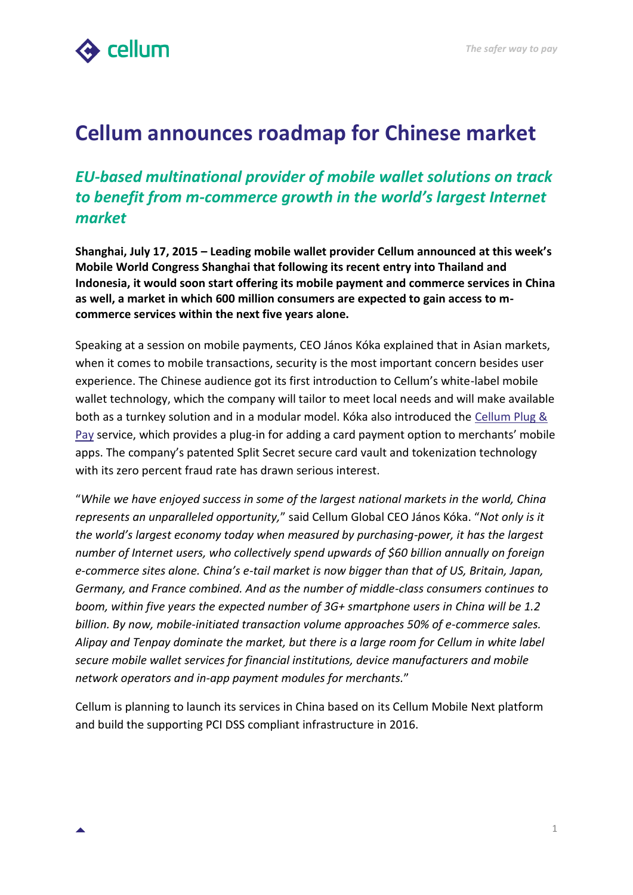

## **Cellum announces roadmap for Chinese market**

## *EU-based multinational provider of mobile wallet solutions on track to benefit from m-commerce growth in the world's largest Internet market*

**Shanghai, July 17, 2015 – Leading mobile wallet provider Cellum announced at this week's Mobile World Congress Shanghai that following its recent entry into Thailand and Indonesia, it would soon start offering its mobile payment and commerce services in China as well, a market in which 600 million consumers are expected to gain access to mcommerce services within the next five years alone.**

Speaking at a session on mobile payments, CEO János Kóka explained that in Asian markets, when it comes to mobile transactions, security is the most important concern besides user experience. The Chinese audience got its first introduction to Cellum's white-label mobile wallet technology, which the company will tailor to meet local needs and will make available both as a turnkey solution and in a modular model. Kóka also introduced the [Cellum Plug &](http://plugandpay.cellum.com/)  [Pay](http://plugandpay.cellum.com/) service, which provides a plug-in for adding a card payment option to merchants' mobile apps. The company's patented Split Secret secure card vault and tokenization technology with its zero percent fraud rate has drawn serious interest.

"*While we have enjoyed success in some of the largest national markets in the world, China represents an unparalleled opportunity,*" said Cellum Global CEO János Kóka. "*Not only is it the world's largest economy today when measured by purchasing-power, it has the largest number of Internet users, who collectively spend upwards of \$60 billion annually on foreign e-commerce sites alone. China's e-tail market is now bigger than that of US, Britain, Japan, Germany, and France combined. And as the number of middle-class consumers continues to boom, within five years the expected number of 3G+ smartphone users in China will be 1.2 billion. By now, mobile-initiated transaction volume approaches 50% of e-commerce sales. Alipay and Tenpay dominate the market, but there is a large room for Cellum in white label secure mobile wallet services for financial institutions, device manufacturers and mobile network operators and in-app payment modules for merchants.*"

Cellum is planning to launch its services in China based on its Cellum Mobile Next platform and build the supporting PCI DSS compliant infrastructure in 2016.